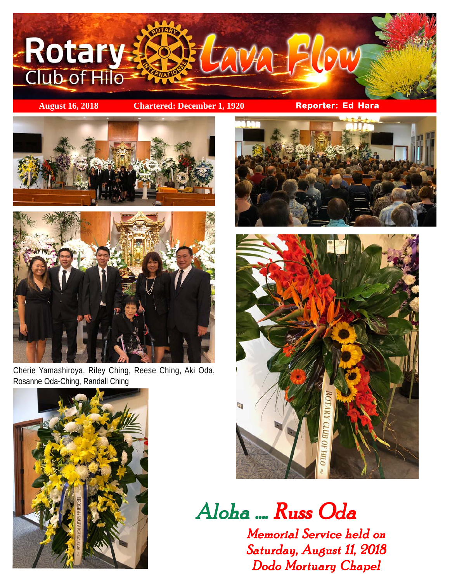

**August 16, 2018 Chartered: December 1, 1920 Reporter: Ed Hara**





Cherie Yamashiroya, Riley Ching, Reese Ching, Aki Oda, Rosanne Oda-Ching, Randall Ching







Aloha Aloha .... Russ Oda Russ Oda Russ Oda

Memorial Service held on Saturday, August 11, 2018 Dodo Mortuary Chapel